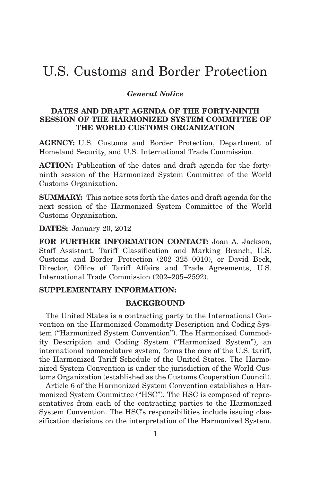# U.S. Customs and Border Protection

## *General Notice*

#### **DATES AND DRAFT AGENDA OF THE FORTY-NINTH SESSION OF THE HARMONIZED SYSTEM COMMITTEE OF THE WORLD CUSTOMS ORGANIZATION**

**AGENCY:** U.S. Customs and Border Protection, Department of Homeland Security, and U.S. International Trade Commission.

**ACTION:** Publication of the dates and draft agenda for the fortyninth session of the Harmonized System Committee of the World Customs Organization.

**SUMMARY:** This notice sets forth the dates and draft agenda for the next session of the Harmonized System Committee of the World Customs Organization.

**DATES:** January 20, 2012

**FOR FURTHER INFORMATION CONTACT:** Joan A. Jackson, Staff Assistant, Tariff Classification and Marking Branch, U.S. Customs and Border Protection (202–325–0010), or David Beck, Director, Office of Tariff Affairs and Trade Agreements, U.S. International Trade Commission (202–205–2592).

## **SUPPLEMENTARY INFORMATION:**

#### **BACKGROUND**

The United States is a contracting party to the International Convention on the Harmonized Commodity Description and Coding System ("Harmonized System Convention"). The Harmonized Commodity Description and Coding System ("Harmonized System"), an international nomenclature system, forms the core of the U.S. tariff, the Harmonized Tariff Schedule of the United States. The Harmonized System Convention is under the jurisdiction of the World Customs Organization (established as the Customs Cooperation Council).

Article 6 of the Harmonized System Convention establishes a Harmonized System Committee ("HSC"). The HSC is composed of representatives from each of the contracting parties to the Harmonized System Convention. The HSC's responsibilities include issuing classification decisions on the interpretation of the Harmonized System.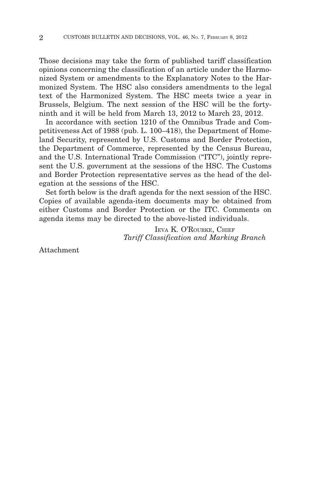Those decisions may take the form of published tariff classification opinions concerning the classification of an article under the Harmonized System or amendments to the Explanatory Notes to the Harmonized System. The HSC also considers amendments to the legal text of the Harmonized System. The HSC meets twice a year in Brussels, Belgium. The next session of the HSC will be the fortyninth and it will be held from March 13, 2012 to March 23, 2012.

In accordance with section 1210 of the Omnibus Trade and Competitiveness Act of 1988 (pub. L. 100–418), the Department of Homeland Security, represented by U.S. Customs and Border Protection, the Department of Commerce, represented by the Census Bureau, and the U.S. International Trade Commission ("ITC"), jointly represent the U.S. government at the sessions of the HSC. The Customs and Border Protection representative serves as the head of the delegation at the sessions of the HSC.

Set forth below is the draft agenda for the next session of the HSC. Copies of available agenda-item documents may be obtained from either Customs and Border Protection or the ITC. Comments on agenda items may be directed to the above-listed individuals.

> IEVA K. O'ROURKE, CHIEF *Tariff Classification and Marking Branch*

Attachment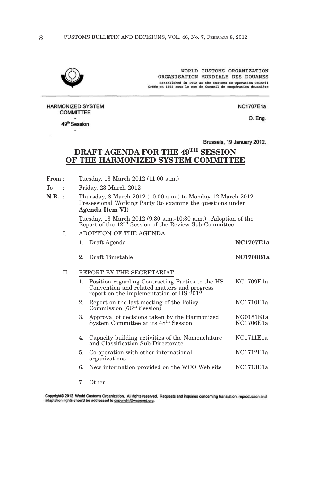

WORLD CUSTOMS ORGANIZATION ORGANISATION MONDIALE DES DOUANES Established in 1952 as the Customs Co-operation Council<br>Créée en 1952 sous le nom de Conseil de coopération douanière

**NC1707E1a** O. Eng.

**COMMITTEE** 49<sup>th</sup> Session ٠

**HARMONIZED SYSTEM** 

Brussels, 19 January 2012.

## **DRAFT AGENDA FOR THE 49TH SESSION OF THE HARMONIZED SYSTEM COMMITTEE**

- From : Tuesday, 13 March 2012 (11.00 a.m.)
- To : Friday, 23 March 2012
- **N.B.** : Thursday, 8 March 2012 (10.00 a.m.) to Monday 12 March 2012: Presessional Working Party (to examine the questions under **Agenda Item VI)**

Tuesday, 13 March 2012 (9:30 a.m.-10:30 a.m.) : Adoption of the Report of the 42nd Session of the Review Sub-Committee

I. ADOPTION OF THE AGENDA

|    |             | 1. Draft Agenda                                                                                                                               | <b>NC1707E1a</b>       |
|----|-------------|-----------------------------------------------------------------------------------------------------------------------------------------------|------------------------|
|    | $2^{\circ}$ | Draft Timetable                                                                                                                               | <b>NC1708B1a</b>       |
| H. |             | REPORT BY THE SECRETARIAT                                                                                                                     |                        |
|    |             | 1. Position regarding Contracting Parties to the HS<br>Convention and related matters and progress<br>report on the implementation of HS 2012 | NC1709E1a              |
|    | 2.          | Report on the last meeting of the Policy<br>Commission (66 <sup>th</sup> Session)                                                             | NC1710E1a              |
|    | 3.          | Approval of decisions taken by the Harmonized<br>System Committee at its 48 <sup>th</sup> Session                                             | NG0181E1a<br>NC1706E1a |
|    | 4.          | Capacity building activities of the Nomenclature<br>and Classification Sub-Directorate                                                        | NC1711E1a              |
|    | 5.          | Co-operation with other international<br>organizations                                                                                        | NC1712E1a              |
|    |             | 6. New information provided on the WCO Web site                                                                                               | NC1713E1a              |

7. Other

Copyright© 2012 World Customs Organization. All rights reserved. Requests and inquiries concerning translation, reproduction and adaptation rights should be addressed to copyright@wcoomd.org.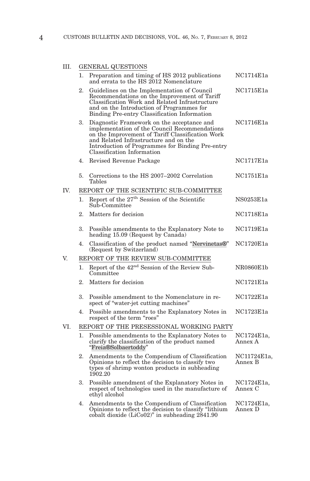## III. GENERAL QUESTIONS

|     |                                    | QCDI                                                                                                                                                                                                                                                                       |                        |  |  |
|-----|------------------------------------|----------------------------------------------------------------------------------------------------------------------------------------------------------------------------------------------------------------------------------------------------------------------------|------------------------|--|--|
|     | 1.                                 | Preparation and timing of HS 2012 publications<br>and errata to the HS 2012 Nomenclature                                                                                                                                                                                   | NC1714E1a              |  |  |
|     | 2.                                 | Guidelines on the Implementation of Council<br>Recommendations on the Improvement of Tariff<br>Classification Work and Related Infrastructure<br>and on the Introduction of Programmes for<br>Binding Pre-entry Classification Information                                 | NC1715E1a              |  |  |
|     | 3.                                 | Diagnostic Framework on the acceptance and<br>implementation of the Council Recommendations<br>on the Improvement of Tariff Classification Work<br>and Related Infrastructure and on the<br>Introduction of Programmes for Binding Pre-entry<br>Classification Information | NC1716E1a              |  |  |
|     | 4.                                 | Revised Revenue Package                                                                                                                                                                                                                                                    | NC1717E1a              |  |  |
|     | 5.                                 | Corrections to the HS 2007–2002 Correlation<br>Tables                                                                                                                                                                                                                      | NC1751E1a              |  |  |
| IV. |                                    | REPORT OF THE SCIENTIFIC SUB-COMMITTEE                                                                                                                                                                                                                                     |                        |  |  |
|     | 1.                                 | Report of the 27 <sup>th</sup> Session of the Scientific<br>Sub-Committee                                                                                                                                                                                                  | NS0253E1a              |  |  |
|     | 2.                                 | Matters for decision                                                                                                                                                                                                                                                       | NC1718E1a              |  |  |
|     | 3.                                 | Possible amendments to the Explanatory Note to<br>heading 15.09 (Request by Canada)                                                                                                                                                                                        | NC1719E1a              |  |  |
|     | 4.                                 | Classification of the product named "Nervinetas®"<br>(Request by Switzerland)                                                                                                                                                                                              | NC1720E1a              |  |  |
| V.  | REPORT OF THE REVIEW SUB-COMMITTEE |                                                                                                                                                                                                                                                                            |                        |  |  |
|     | 1.                                 | Report of the 42 <sup>nd</sup> Session of the Review Sub-<br>Committee                                                                                                                                                                                                     | NR0860E1b              |  |  |
|     | 2.                                 | Matters for decision                                                                                                                                                                                                                                                       | NC1721E1a              |  |  |
|     | 3.                                 | Possible amendment to the Nomenclature in re-<br>spect of "water-jet cutting machines"                                                                                                                                                                                     | NC1722E1a              |  |  |
|     | 4.                                 | Possible amendments to the Explanatory Notes in<br>respect of the term "roes"                                                                                                                                                                                              | NC1723E1a              |  |  |
| VI. |                                    | REPORT OF THE PRESESSIONAL WORKING PARTY                                                                                                                                                                                                                                   |                        |  |  |
|     | 1.                                 | Possible amendments to the Explanatory Notes to<br>clarify the classification of the product named<br>"Freia®Solbaertoddy"                                                                                                                                                 | NC1724E1a,<br>Annex A  |  |  |
|     | 2.                                 | Amendments to the Compendium of Classification<br>Opinions to reflect the decision to classify two<br>types of shrimp wonton products in subheading<br>1902.20                                                                                                             | NC11724E1a,<br>Annex B |  |  |
|     | 3.                                 | Possible amendment of the Explanatory Notes in<br>respect of technologies used in the manufacture of<br>ethyl alcohol                                                                                                                                                      | NC1724E1a,<br>Annex C  |  |  |
|     | 4.                                 | Amendments to the Compendium of Classification<br>Opinions to reflect the decision to classify "lithium"<br>cobalt dioxide $(LiCo02)$ " in subheading $2841.90$                                                                                                            | NC1724E1a,<br>Annex D  |  |  |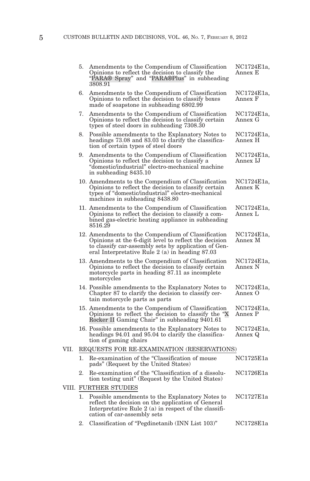|      | 5.                                         | Amendments to the Compendium of Classification<br>Opinions to reflect the decision to classify the<br>"PARA® Spray" and "PARA®Plus" in subheading<br>3808.91                                                            | NC1724E1a,<br>Annex E  |  |  |
|------|--------------------------------------------|-------------------------------------------------------------------------------------------------------------------------------------------------------------------------------------------------------------------------|------------------------|--|--|
|      | 6.                                         | Amendments to the Compendium of Classification<br>Opinions to reflect the decision to classify boxes<br>made of soapstone in subheading 6802.99                                                                         | NC1724E1a,<br>Annex F  |  |  |
|      |                                            | 7. Amendments to the Compendium of Classification<br>Opinions to reflect the decision to classify certain<br>types of steel doors in subheading 7308.30                                                                 | NC1724E1a,<br>Annex G  |  |  |
|      | 8.                                         | Possible amendments to the Explanatory Notes to<br>headings 73.08 and 83.03 to clarify the classifica-<br>tion of certain types of steel doors                                                                          | NC1724E1a,<br>Annex H  |  |  |
|      | 9.                                         | Amendments to the Compendium of Classification<br>Opinions to reflect the decision to classify a<br>"domestic/industrial" electro-mechanical machine<br>in subheading 8435.10                                           | NC1724E1a,<br>Annex IJ |  |  |
|      |                                            | 10. Amendments to the Compendium of Classification<br>Opinions to reflect the decision to classify certain<br>types of "domestic/industrial" electro-mechanical<br>machines in subheading 8438.80                       | NC1724E1a,<br>Annex K  |  |  |
|      |                                            | 11. Amendments to the Compendium of Classification<br>Opinions to reflect the decision to classify a com-<br>bined gas-electric heating appliance in subheading<br>8516.29                                              | NC1724E1a,<br>Annex L  |  |  |
|      |                                            | 12. Amendments to the Compendium of Classification<br>Opinions at the 6-digit level to reflect the decision<br>to classify car-assembly sets by application of Gen-<br>eral Interpretative Rule $2(a)$ in heading 87.03 | NC1724E1a,<br>Annex M  |  |  |
|      |                                            | 13. Amendments to the Compendium of Classification<br>Opinions to reflect the decision to classify certain<br>motorcycle parts in heading 87.11 as incomplete<br>motorcycles                                            | NC1724E1a,<br>Annex N  |  |  |
|      |                                            | 14. Possible amendments to the Explanatory Notes to<br>Chapter 87 to clarify the decision to classify cer-<br>tain motorcycle parts as parts                                                                            | NC1724E1a,<br>Annex O  |  |  |
|      |                                            | 15. Amendments to the Compendium of Classification<br>Opinions to reflect the decision to classify the "X"<br>Rocker II Gaming Chair" in subheading 9401.61                                                             | NC1724E1a,<br>Annex P  |  |  |
|      |                                            | 16. Possible amendments to the Explanatory Notes to<br>headings 94.01 and 95.04 to clarify the classifica-<br>tion of gaming chairs                                                                                     | NC1724E1a,<br>Annex Q  |  |  |
| VII. | REQUESTS FOR RE-EXAMINATION (RESERVATIONS) |                                                                                                                                                                                                                         |                        |  |  |
|      | 1.                                         | Re-examination of the "Classification of mouse<br>pads" (Request by the United States)                                                                                                                                  | NC1725E1a              |  |  |
|      | 2.                                         | Re-examination of the "Classification of a dissolu-<br>tion testing unit" (Request by the United States)                                                                                                                | NC1726E1a              |  |  |
|      | VIII. FURTHER STUDIES                      |                                                                                                                                                                                                                         |                        |  |  |
|      | 1.                                         | Possible amendments to the Explanatory Notes to<br>reflect the decision on the application of General<br>Interpretative Rule 2 (a) in respect of the classifi-<br>cation of car-assembly sets                           | NC1727E1a              |  |  |
|      | 2.                                         | Classification of "Pegdinetanib (INN List 103)"                                                                                                                                                                         | NC1728E1a              |  |  |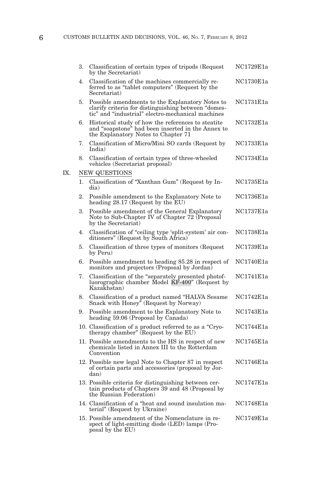| 3. | Classification of certain types of tripods (Request<br>by the Secretariat)                                                                                  | NC1729E1a |
|----|-------------------------------------------------------------------------------------------------------------------------------------------------------------|-----------|
| 4. | Classification of the machines commercially re-<br>ferred to as "tablet computers" (Request by the<br>Secretariat)                                          | NC1730E1a |
| 5. | Possible amendments to the Explanatory Notes to<br>clarify criteria for distinguishing between "domes-<br>tic" and "industrial" electro-mechanical machines | NC1731E1a |
| 6. | Historical study of how the references to steatite<br>and "soapstone" had been inserted in the Annex to<br>the Explanatory Notes to Chapter 71              | NC1732E1a |
| 7. | Classification of Micro/Mini SO cards (Request by<br>India)                                                                                                 | NC1733E1a |
| 8. | Classification of certain types of three-wheeled<br>vehicles (Secretariat proposal)                                                                         | NC1734E1a |
|    | NEW QUESTIONS                                                                                                                                               |           |
| 1. | Classification of "Xanthan Gum" (Request by In-<br>dia)                                                                                                     | NC1735E1a |
| 2. | Possible amendment to the Explanatory Note to<br>heading 28.17 (Request by the EU)                                                                          | NC1736E1a |
| 3. | Possible amendment of the General Explanatory<br>Note to Sub-Chapter IV of Chapter 72 (Proposal<br>by the Secretariat)                                      | NC1737E1a |
| 4. | Classification of "ceiling type 'split-system' air con-<br>ditioners" (Request by South Africa)                                                             | NC1738E1a |
| 5. | Classification of three types of monitors (Request<br>by Peru)                                                                                              | NC1739E1a |
| 6. | Possible amendment to heading 85.28 in respect of<br>monitors and projectors (Proposal by Jordan)                                                           | NC1740E1a |
| 7. | Classification of the "separately presented photof-<br>luorographic chamber Model KF-400" (Request by<br>Kazakhstan)                                        | NC1741E1a |
| 8. | Classification of a product named "HALVA Sesame<br>Snack with Honey" (Request by Norway)                                                                    | NC1742E1a |
| 9. | Possible amendment to the Explanatory Note to<br>heading 59.06 (Proposal by Canada)                                                                         | NC1743E1a |
|    | 10. Classification of a product referred to as a "Cryo-<br>therapy chamber" (Request by the $EU$ )                                                          | NC1744E1a |
|    | 11. Possible amendments to the HS in respect of new<br>chemicals listed in Annex III to the Rotterdam<br>Convention                                         | NC1745E1a |
|    | 12. Possible new legal Note to Chapter 87 in respect<br>of certain parts and accessories (proposal by Jor-<br>dan)                                          | NC1746E1a |
|    | 13. Possible criteria for distinguishing between cer-<br>tain products of Chapters 39 and 48 (Proposal by<br>the Russian Federation)                        | NC1747E1a |
|    | 14. Classification of a "heat and sound insulation ma-<br>terial" (Request by Ukraine)                                                                      | NC1748E1a |
|    | 15. Possible amendment of the Nomenclature in re-<br>spect of light-emitting diode (LED) lamps (Pro-<br>posal by the EU)                                    | NC1749E1a |

IX.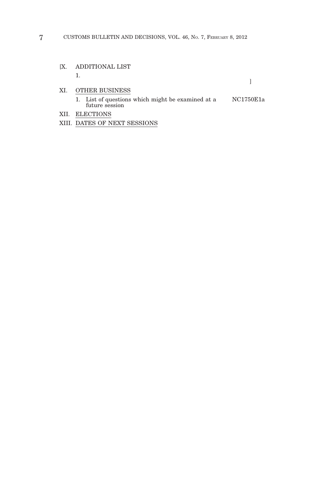- [X. ADDITIONAL LIST 1.
- XI. OTHER BUSINESS
	- 1. List of questions which might be examined at a future session NC1750E1a

 $\begin{array}{c} \hline \end{array}$ 

- XII. ELECTIONS
- XIII. DATES OF NEXT SESSIONS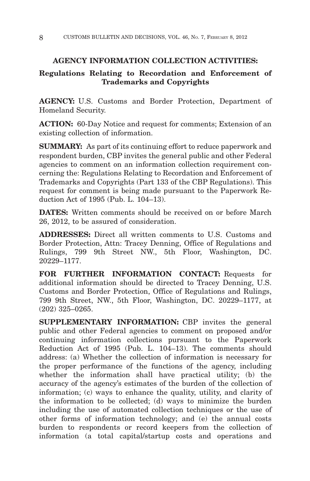#### **AGENCY INFORMATION COLLECTION ACTIVITIES:**

## **Regulations Relating to Recordation and Enforcement of Trademarks and Copyrights**

**AGENCY:** U.S. Customs and Border Protection, Department of Homeland Security.

**ACTION:** 60-Day Notice and request for comments; Extension of an existing collection of information.

**SUMMARY:** As part of its continuing effort to reduce paperwork and respondent burden, CBP invites the general public and other Federal agencies to comment on an information collection requirement concerning the: Regulations Relating to Recordation and Enforcement of Trademarks and Copyrights (Part 133 of the CBP Regulations). This request for comment is being made pursuant to the Paperwork Reduction Act of 1995 (Pub. L. 104–13).

**DATES:** Written comments should be received on or before March 26, 2012, to be assured of consideration.

**ADDRESSES:** Direct all written comments to U.S. Customs and Border Protection, Attn: Tracey Denning, Office of Regulations and Rulings, 799 9th Street NW., 5th Floor, Washington, DC. 20229–1177.

**FOR FURTHER INFORMATION CONTACT:** Requests for additional information should be directed to Tracey Denning, U.S. Customs and Border Protection, Office of Regulations and Rulings, 799 9th Street, NW., 5th Floor, Washington, DC. 20229–1177, at (202) 325–0265.

**SUPPLEMENTARY INFORMATION:** CBP invites the general public and other Federal agencies to comment on proposed and/or continuing information collections pursuant to the Paperwork Reduction Act of 1995 (Pub. L. 104–13). The comments should address: (a) Whether the collection of information is necessary for the proper performance of the functions of the agency, including whether the information shall have practical utility; (b) the accuracy of the agency's estimates of the burden of the collection of information; (c) ways to enhance the quality, utility, and clarity of the information to be collected; (d) ways to minimize the burden including the use of automated collection techniques or the use of other forms of information technology; and (e) the annual costs burden to respondents or record keepers from the collection of information (a total capital/startup costs and operations and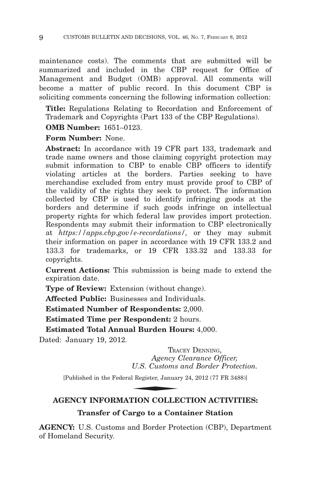maintenance costs). The comments that are submitted will be summarized and included in the CBP request for Office of Management and Budget (OMB) approval. All comments will become a matter of public record. In this document CBP is soliciting comments concerning the following information collection:

**Title:** Regulations Relating to Recordation and Enforcement of Trademark and Copyrights (Part 133 of the CBP Regulations).

**OMB Number:** 1651–0123.

**Form Number:** None.

**Abstract:** In accordance with 19 CFR part 133, trademark and trade name owners and those claiming copyright protection may submit information to CBP to enable CBP officers to identify violating articles at the borders. Parties seeking to have merchandise excluded from entry must provide proof to CBP of the validity of the rights they seek to protect. The information collected by CBP is used to identify infringing goods at the borders and determine if such goods infringe on intellectual property rights for which federal law provides import protection. Respondents may submit their information to CBP electronically at *https://apps.cbp.gov/e-recordations/,* or they may submit their information on paper in accordance with 19 CFR 133.2 and 133.3 for trademarks, or 19 CFR 133.32 and 133.33 for copyrights.

**Current Actions:** This submission is being made to extend the expiration date.

**Type of Review:** Extension (without change).

**Affected Public:** Businesses and Individuals.

**Estimated Number of Respondents:** 2,000.

**Estimated Time per Respondent:** 2 hours.

**Estimated Total Annual Burden Hours:** 4,000.

Dated: January 19, 2012.

TRACEY DENNING, *Agency Clearance Officer, U.S. Customs and Border Protection.* TRA<br> *Agency (*<br>
U.S. Customs<br>
1 Register, Januar<br> **FION COLLE** 

[Published in the Federal Register, January 24, 2012 (77 FR 3488)]

## **AGENCY INFORMATION COLLECTION ACTIVITIES: Transfer of Cargo to a Container Station**

**AGENCY:** U.S. Customs and Border Protection (CBP), Department of Homeland Security.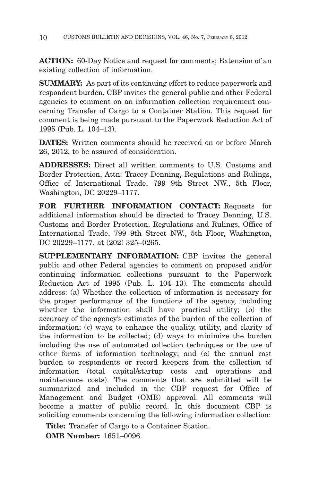**ACTION:** 60-Day Notice and request for comments; Extension of an existing collection of information.

**SUMMARY:** As part of its continuing effort to reduce paperwork and respondent burden, CBP invites the general public and other Federal agencies to comment on an information collection requirement concerning Transfer of Cargo to a Container Station. This request for comment is being made pursuant to the Paperwork Reduction Act of 1995 (Pub. L. 104–13).

**DATES:** Written comments should be received on or before March 26, 2012, to be assured of consideration.

**ADDRESSES:** Direct all written comments to U.S. Customs and Border Protection, Attn: Tracey Denning, Regulations and Rulings, Office of International Trade, 799 9th Street NW., 5th Floor, Washington, DC 20229–1177.

**FOR FURTHER INFORMATION CONTACT:** Requests for additional information should be directed to Tracey Denning, U.S. Customs and Border Protection, Regulations and Rulings, Office of International Trade, 799 9th Street NW., 5th Floor, Washington, DC 20229–1177, at (202) 325–0265.

**SUPPLEMENTARY INFORMATION:** CBP invites the general public and other Federal agencies to comment on proposed and/or continuing information collections pursuant to the Paperwork Reduction Act of 1995 (Pub. L. 104–13). The comments should address: (a) Whether the collection of information is necessary for the proper performance of the functions of the agency, including whether the information shall have practical utility; (b) the accuracy of the agency's estimates of the burden of the collection of information; (c) ways to enhance the quality, utility, and clarity of the information to be collected; (d) ways to minimize the burden including the use of automated collection techniques or the use of other forms of information technology; and (e) the annual cost burden to respondents or record keepers from the collection of information (total capital/startup costs and operations and maintenance costs). The comments that are submitted will be summarized and included in the CBP request for Office of Management and Budget (OMB) approval. All comments will become a matter of public record. In this document CBP is soliciting comments concerning the following information collection:

**Title:** Transfer of Cargo to a Container Station.

**OMB Number:** 1651–0096.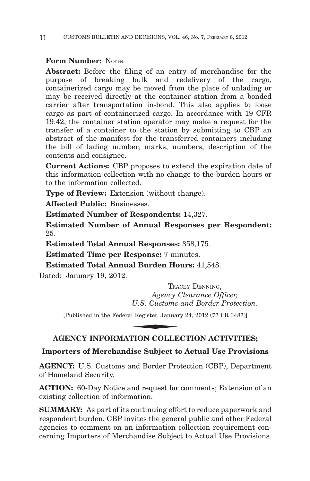## **Form Number:** None.

**Abstract:** Before the filing of an entry of merchandise for the purpose of breaking bulk and redelivery of the cargo, containerized cargo may be moved from the place of unlading or may be received directly at the container station from a bonded carrier after transportation in-bond. This also applies to loose cargo as part of containerized cargo. In accordance with 19 CFR 19.42, the container station operator may make a request for the transfer of a container to the station by submitting to CBP an abstract of the manifest for the transferred containers including the bill of lading number, marks, numbers, description of the contents and consignee.

**Current Actions:** CBP proposes to extend the expiration date of this information collection with no change to the burden hours or to the information collected.

**Type of Review:** Extension (without change).

**Affected Public:** Businesses.

**Estimated Number of Respondents:** 14,327.

**Estimated Number of Annual Responses per Respondent:** 25.

**Estimated Total Annual Responses:** 358,175.

**Estimated Time per Response:** 7 minutes.

**Estimated Total Annual Burden Hours:** 41,548.

Dated: January 19, 2012.

TRACEY DENNING, *Agency Clearance Officer, U.S. Customs and Border Protection.* TRAM<br>
Agency (<br>
U.S. Customs<br>
I Register, Januar<br>
NION COLLE

[Published in the Federal Register, January 24, 2012 (77 FR 3487)]

## **AGENCY INFORMATION COLLECTION ACTIVITIES;**

## **Importers of Merchandise Subject to Actual Use Provisions**

**AGENCY:** U.S. Customs and Border Protection (CBP), Department of Homeland Security.

**ACTION:** 60-Day Notice and request for comments; Extension of an existing collection of information.

**SUMMARY:** As part of its continuing effort to reduce paperwork and respondent burden, CBP invites the general public and other Federal agencies to comment on an information collection requirement concerning Importers of Merchandise Subject to Actual Use Provisions.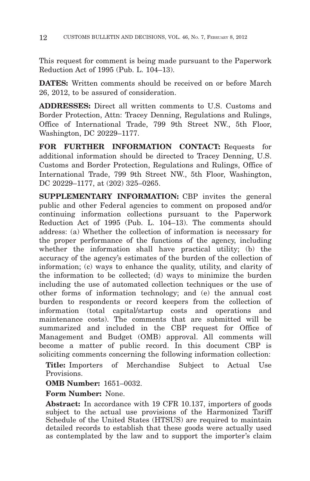This request for comment is being made pursuant to the Paperwork Reduction Act of 1995 (Pub. L. 104–13).

**DATES:** Written comments should be received on or before March 26, 2012, to be assured of consideration.

**ADDRESSES:** Direct all written comments to U.S. Customs and Border Protection, Attn: Tracey Denning, Regulations and Rulings, Office of International Trade, 799 9th Street NW., 5th Floor, Washington, DC 20229–1177.

**FOR FURTHER INFORMATION CONTACT:** Requests for additional information should be directed to Tracey Denning, U.S. Customs and Border Protection, Regulations and Rulings, Office of International Trade, 799 9th Street NW., 5th Floor, Washington, DC 20229–1177, at (202) 325–0265.

**SUPPLEMENTARY INFORMATION:** CBP invites the general public and other Federal agencies to comment on proposed and/or continuing information collections pursuant to the Paperwork Reduction Act of 1995 (Pub. L. 104–13). The comments should address: (a) Whether the collection of information is necessary for the proper performance of the functions of the agency, including whether the information shall have practical utility; (b) the accuracy of the agency's estimates of the burden of the collection of information; (c) ways to enhance the quality, utility, and clarity of the information to be collected; (d) ways to minimize the burden including the use of automated collection techniques or the use of other forms of information technology; and (e) the annual cost burden to respondents or record keepers from the collection of information (total capital/startup costs and operations and maintenance costs). The comments that are submitted will be summarized and included in the CBP request for Office of Management and Budget (OMB) approval. All comments will become a matter of public record. In this document CBP is soliciting comments concerning the following information collection:

**Title:** Importers of Merchandise Subject to Actual Use Provisions.

## **OMB Number:** 1651–0032.

**Form Number:** None.

**Abstract:** In accordance with 19 CFR 10.137, importers of goods subject to the actual use provisions of the Harmonized Tariff Schedule of the United States (HTSUS) are required to maintain detailed records to establish that these goods were actually used as contemplated by the law and to support the importer's claim